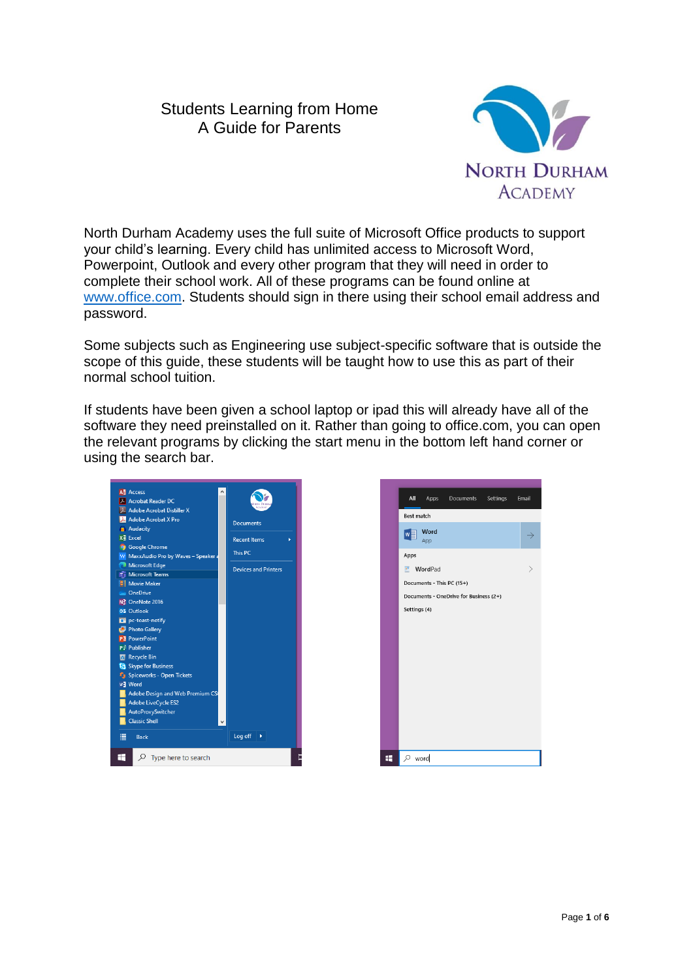# Students Learning from Home A Guide for Parents



North Durham Academy uses the full suite of Microsoft Office products to support your child's learning. Every child has unlimited access to Microsoft Word, Powerpoint, Outlook and every other program that they will need in order to complete their school work. All of these programs can be found online at [www.office.com.](http://www.office.com/) Students should sign in there using their school email address and password.

Some subjects such as Engineering use subject-specific software that is outside the scope of this guide, these students will be taught how to use this as part of their normal school tuition.

If students have been given a school laptop or ipad this will already have all of the software they need preinstalled on it. Rather than going to office.com, you can open the relevant programs by clicking the start menu in the bottom left hand corner or using the search bar.



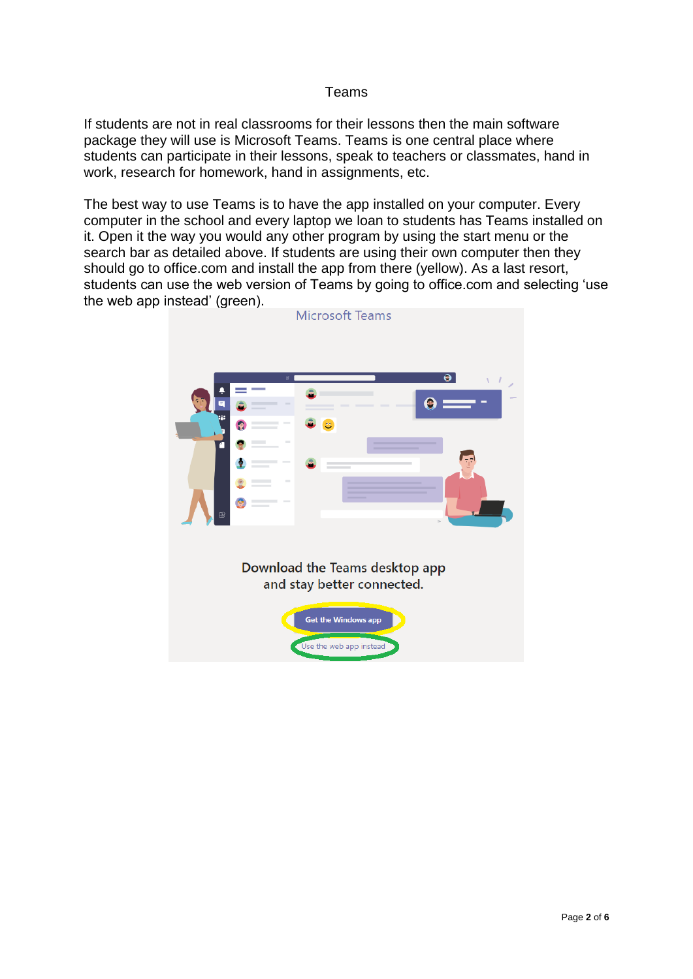### Teams

If students are not in real classrooms for their lessons then the main software package they will use is Microsoft Teams. Teams is one central place where students can participate in their lessons, speak to teachers or classmates, hand in work, research for homework, hand in assignments, etc.

The best way to use Teams is to have the app installed on your computer. Every computer in the school and every laptop we loan to students has Teams installed on it. Open it the way you would any other program by using the start menu or the search bar as detailed above. If students are using their own computer then they should go to office.com and install the app from there (yellow). As a last resort, students can use the web version of Teams by going to office.com and selecting 'use the web app instead' (green).

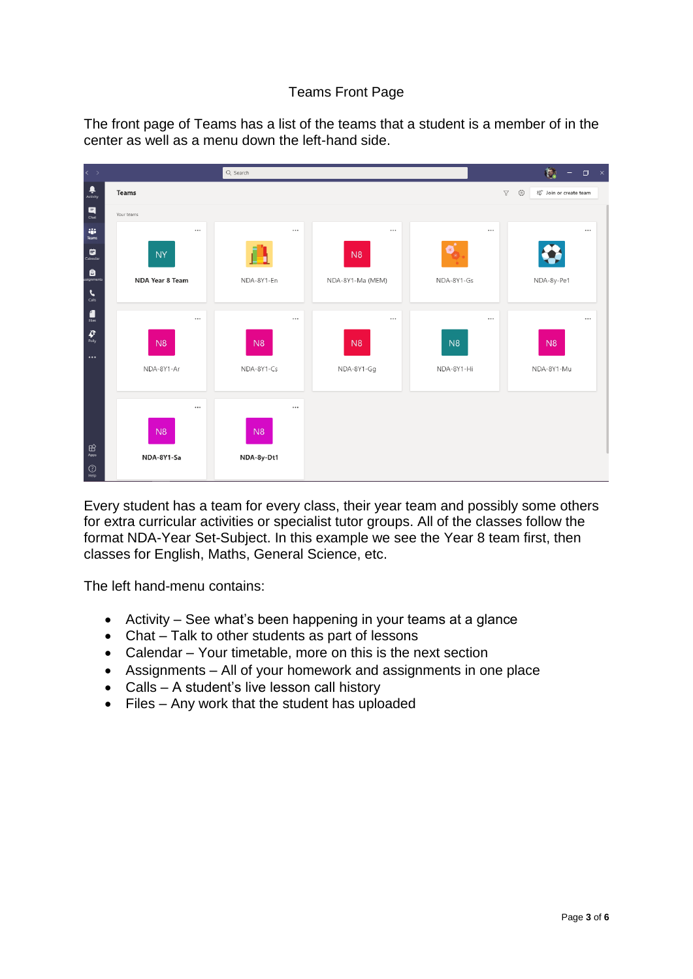## Teams Front Page

The front page of Teams has a list of the teams that a student is a member of in the center as well as a menu down the left-hand side.

| $\langle \rangle$                                                                           |                        | Q Search   |                  |                | 傅.<br>$\Box$<br>$\mathbb{R}^{\times}$<br>$\sim$                   |
|---------------------------------------------------------------------------------------------|------------------------|------------|------------------|----------------|-------------------------------------------------------------------|
| $\frac{\blacksquare}{\blacktriangle}$                                                       | Teams                  |            |                  |                | భ<br>ะอ <sup>+</sup> Join or create team<br>$\boldsymbol{\nabla}$ |
| $\begin{array}{c} \hline \mathbf{H} \\ \hline \mathbf{C} \mathbf{h} \mathbf{R} \end{array}$ | Your teams             |            |                  |                |                                                                   |
| ag.<br>Teams                                                                                | $\cdots$               | $\cdots$   | $\cdots$         | $\cdots$       | $\cdots$                                                          |
| ₿<br>$\Box$ Calendar                                                                        | <b>NY</b>              | п          | N <sub>8</sub>   | $[\ast]$       |                                                                   |
| <b>Ô</b>                                                                                    | <b>NDA Year 8 Team</b> | NDA-8Y1-En | NDA-8Y1-Ma (MEM) | NDA-8Y1-Gs     | NDA-8y-Pe1                                                        |
| $\sum_{\text{Calls}}$                                                                       |                        |            |                  |                |                                                                   |
| $\begin{array}{c} \begin{array}{c} \text{d} \\ \text{files} \end{array} \end{array}$        | $\cdots$               | $\cdots$   | $\cdots$         | $\cdots$       | $\cdots$                                                          |
| $\pmb{\mathcal{G}}_{\text{poly}}$<br>$\cdots$                                               | N8                     | N8         | N8               | N <sub>8</sub> | N8                                                                |
|                                                                                             | NDA-8Y1-Ar             | NDA-8Y1-Cs | NDA-8Y1-Gg       | NDA-8Y1-Hi     | NDA-8Y1-Mu                                                        |
|                                                                                             |                        |            |                  |                |                                                                   |
|                                                                                             | $\cdots$               | $\cdots$   |                  |                |                                                                   |
|                                                                                             | N8                     | N8         |                  |                |                                                                   |
| $\bigoplus_{\text{Apps}}$                                                                   | NDA-8Y1-Sa             | NDA-8y-Dt1 |                  |                |                                                                   |
| $\bigodot_{\mathsf{Help}}$                                                                  |                        |            |                  |                |                                                                   |

Every student has a team for every class, their year team and possibly some others for extra curricular activities or specialist tutor groups. All of the classes follow the format NDA-Year Set-Subject. In this example we see the Year 8 team first, then classes for English, Maths, General Science, etc.

The left hand-menu contains:

- Activity See what's been happening in your teams at a glance
- Chat Talk to other students as part of lessons
- Calendar Your timetable, more on this is the next section
- Assignments All of your homework and assignments in one place
- Calls A student's live lesson call history
- Files Any work that the student has uploaded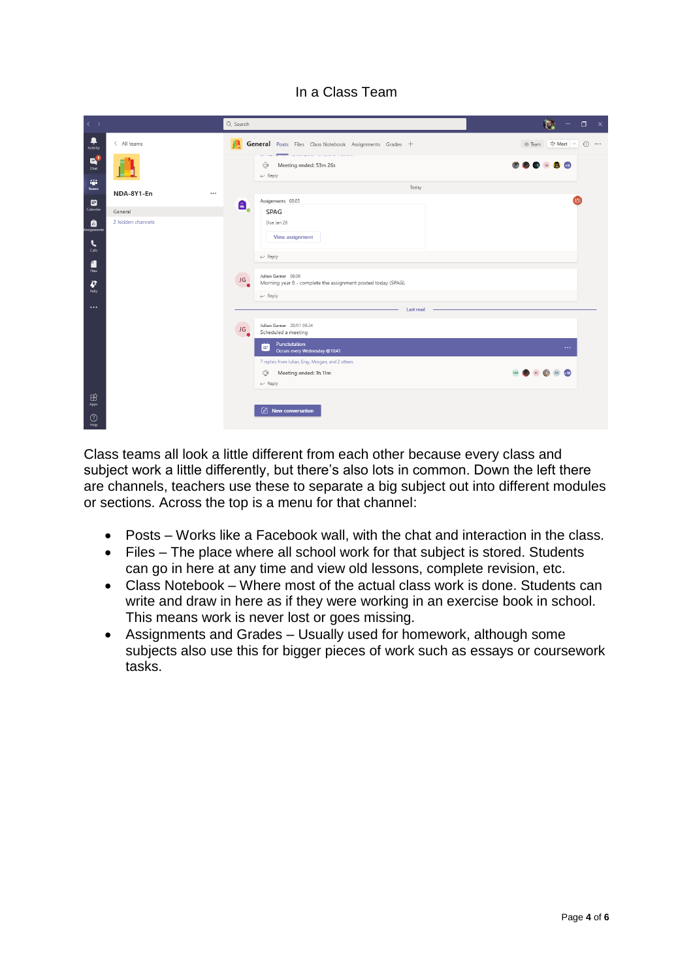## In a Class Team

| $\langle \quad \rangle$                   |                        | Q Search     |                                                                                                          | 枹<br>$\Box$<br>$\mathbf{x}$<br>$-$     |
|-------------------------------------------|------------------------|--------------|----------------------------------------------------------------------------------------------------------|----------------------------------------|
| Ļ<br>Activity                             | < All teams            | 畵            | General Posts Files Class Notebook Assignments Grades +                                                  | ⊙ Team © Meet ∨<br>$\odot$<br>$\cdots$ |
| $\mathbf{B}^1$<br>Chat                    |                        |              | <del>the co</del> mpany of the company and a manage<br>Φ<br>Meeting ended: 53m 26s<br>$\leftarrow$ Reply |                                        |
| W.<br>Teams                               | NDA-8Y1-En<br>$\cdots$ |              | Today                                                                                                    |                                        |
| ▩                                         |                        | Α,           | Assignments 08:05                                                                                        |                                        |
| Calendar                                  | General                |              | SPAG                                                                                                     |                                        |
| â<br>ssignments                           | 2 hidden channels      |              | Due Jan 28                                                                                               |                                        |
| $\epsilon$<br>Calls                       |                        |              | View assignment                                                                                          |                                        |
| 4                                         |                        |              | $\leftarrow$ Reply                                                                                       |                                        |
| <b>Files</b><br>$\boldsymbol{r}$<br>Polly | المنازل<br>JG          |              | Julian Garner 08:06<br>Morning year 8 - complete the assignment posted today (SPAG).                     |                                        |
| $\cdots$                                  |                        |              | $\leftarrow$ Reply                                                                                       |                                        |
|                                           |                        |              | Last read                                                                                                |                                        |
|                                           |                        | œ<br>JG<br>٠ | Julian Garner 20/01 08:24<br>Scheduled a meeting                                                         |                                        |
|                                           |                        |              | Punctutation<br>l ar<br>Occurs every Wednesday @10:45                                                    | $\cdots$                               |
|                                           |                        |              | 7 replies from Julian, Eray, Morgan, and 2 others                                                        |                                        |
|                                           |                        |              | ි<br>Meeting ended: 1h 11m                                                                               | <b>DS</b> 410                          |
|                                           |                        |              | $\leftarrow$ Reply                                                                                       |                                        |
| $\mathbb{B}$<br>Apps                      |                        |              |                                                                                                          |                                        |
|                                           |                        |              | $\emptyset$ New conversation                                                                             |                                        |
| $\odot$<br>Help                           |                        |              |                                                                                                          |                                        |

Class teams all look a little different from each other because every class and subject work a little differently, but there's also lots in common. Down the left there are channels, teachers use these to separate a big subject out into different modules or sections. Across the top is a menu for that channel:

- Posts Works like a Facebook wall, with the chat and interaction in the class.
- Files The place where all school work for that subject is stored. Students can go in here at any time and view old lessons, complete revision, etc.
- Class Notebook Where most of the actual class work is done. Students can write and draw in here as if they were working in an exercise book in school. This means work is never lost or goes missing.
- Assignments and Grades Usually used for homework, although some subjects also use this for bigger pieces of work such as essays or coursework tasks.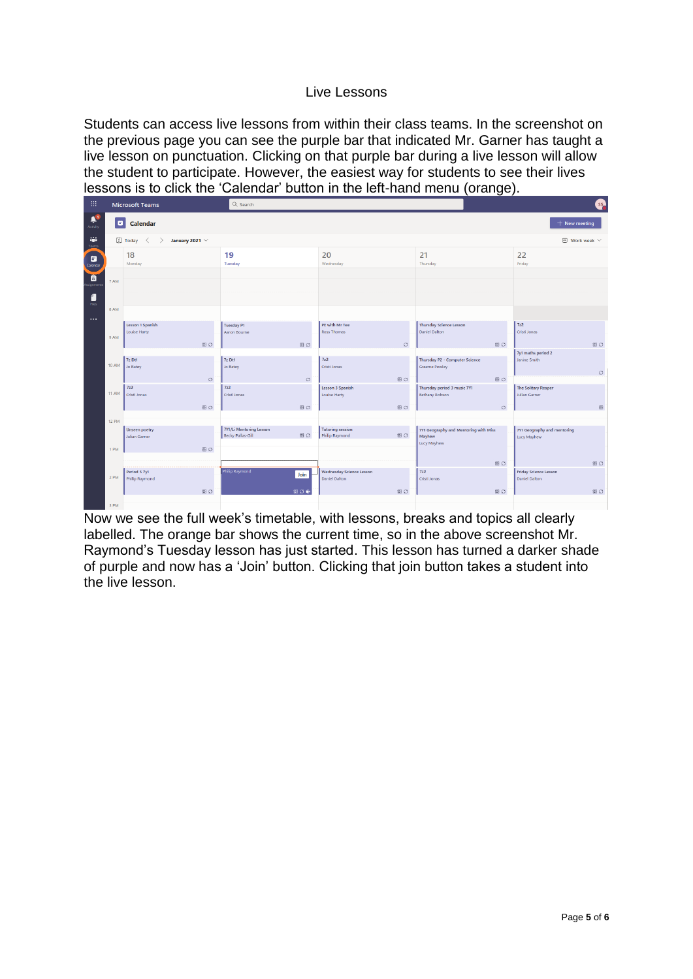#### Live Lessons

Students can access live lessons from within their class teams. In the screenshot on the previous page you can see the purple bar that indicated Mr. Garner has taught a live lesson on punctuation. Clicking on that purple bar during a live lesson will allow the student to participate. However, the easiest way for students to see their lives lessons is to click the 'Calendar' button in the left-hand menu (orange).

| 田                                |                | <b>Microsoft Teams</b>                                                                  | Q Search                                                         | G                                                       |                                                                |                                            |  |  |  |  |  |
|----------------------------------|----------------|-----------------------------------------------------------------------------------------|------------------------------------------------------------------|---------------------------------------------------------|----------------------------------------------------------------|--------------------------------------------|--|--|--|--|--|
| $\hat{\mathbf{r}}_0$<br>Activity | $\blacksquare$ | <b>Calendar</b><br>$+$ New meeting                                                      |                                                                  |                                                         |                                                                |                                            |  |  |  |  |  |
| ŵ<br>$reams$                     |                | 【】Today<br>$\Box$ Work week $\vee$<br>January 2021 $\vee$<br>$\langle$<br>$\rightarrow$ |                                                                  |                                                         |                                                                |                                            |  |  |  |  |  |
| ₿<br>Calendar                    |                | 18<br>Monday                                                                            | 19<br>Tuesday                                                    | 20<br>Wednesday                                         | 21<br>Thursday                                                 | 22<br>Friday                               |  |  |  |  |  |
| $\bullet$                        | 7 AM           |                                                                                         |                                                                  |                                                         |                                                                |                                            |  |  |  |  |  |
| 1<br>Files.                      | 8 AM           |                                                                                         |                                                                  |                                                         |                                                                |                                            |  |  |  |  |  |
|                                  | 9 AM           | Lesson 1 Spanish<br>Louise Harty                                                        | <b>Tuesday P1</b><br>Aaron Bourne                                | PE with Mr Tee<br><b>Ross Thomas</b>                    | <b>Thursday Science Lesson</b><br><b>Daniel Dalton</b>         | <b>7z2</b><br>Cristi Jonas                 |  |  |  |  |  |
|                                  |                | $B$ $O$                                                                                 | <b>BO</b>                                                        | $\circlearrowleft$                                      | $B$ $O$                                                        | $\boxplus$ 0<br>7y1 maths period 2         |  |  |  |  |  |
|                                  | <b>10 AM</b>   | 7z Dt1<br>Jo Batey                                                                      | 7z Dt1<br>Jo Batey                                               | 7z2<br>Cristi Jonas                                     | Thursday P2 - Computer Science<br><b>Graeme Powley</b>         | Janine Smith<br>$\circlearrowleft$         |  |  |  |  |  |
|                                  |                | $\circlearrowleft$<br>7z2                                                               | $\circlearrowleft$<br>7z2                                        | B<br>Lesson 3 Spanish                                   | $\Xi$ $\circ$<br>Thursday period 3 music 7Y1                   | The Solitary Reaper                        |  |  |  |  |  |
|                                  | <b>11 AM</b>   | Cristi Jonas                                                                            | Cristi Jonas                                                     | <b>Louise Harty</b>                                     | Bethany Robson                                                 | <b>Julian Garner</b>                       |  |  |  |  |  |
|                                  |                | $B$ $O$                                                                                 | $B$ $O$                                                          | 目0                                                      | $\circ$                                                        | $\boxplus$                                 |  |  |  |  |  |
|                                  | <b>12 PM</b>   |                                                                                         |                                                                  |                                                         |                                                                |                                            |  |  |  |  |  |
|                                  |                | <b>Unseen poetry</b><br><b>Julian Garner</b>                                            | 7Y1/Li Mentoring Lesson<br><b>BO</b><br><b>Becky Pallas-Gill</b> | <b>Tutoring session</b><br>B<br>Philip Raymond          | 7Y1 Geography and Mentoring with Miss<br>Mayhew<br>Lucy Mayhew | 7Y1 Geography and mentoring<br>Lucy Mayhew |  |  |  |  |  |
|                                  | 1 PM           | $B$ $O$                                                                                 |                                                                  |                                                         |                                                                |                                            |  |  |  |  |  |
|                                  |                |                                                                                         |                                                                  |                                                         | 0C                                                             | B                                          |  |  |  |  |  |
|                                  | 2 PM           | Period 5 7y1<br><b>Philip Raymond</b>                                                   | Philip Raymond<br>Join                                           | <b>Wednesday Science Lesson</b><br><b>Daniel Dalton</b> | 7z2<br>Cristi Jonas                                            | Friday Science Lesson<br>Daniel Dalton     |  |  |  |  |  |
|                                  |                | $B$ $O$                                                                                 | $B O$ $C$                                                        | $B$ $O$                                                 | $\Xi$ $\circ$                                                  | $\boxplus$ $\oslash$                       |  |  |  |  |  |
|                                  | 2, DM          |                                                                                         |                                                                  |                                                         |                                                                |                                            |  |  |  |  |  |

Now we see the full week's timetable, with lessons, breaks and topics all clearly labelled. The orange bar shows the current time, so in the above screenshot Mr. Raymond's Tuesday lesson has just started. This lesson has turned a darker shade of purple and now has a 'Join' button. Clicking that join button takes a student into the live lesson.